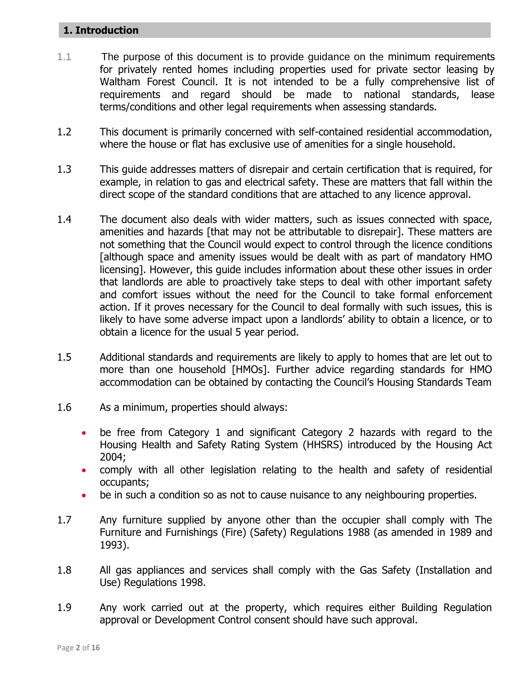### **1. Introduction**

- 1.1 The purpose of this document is to provide guidance on the minimum requirements for privately rented homes including properties used for private sector leasing by Waltham Forest Council. It is not intended to be a fully comprehensive list of requirements and regard should be made to national standards, lease terms/conditions and other legal requirements when assessing standards.
- 1.2 This document is primarily concerned with self-contained residential accommodation, where the house or flat has exclusive use of amenities for a single household.
- 1.3 This guide addresses matters of disrepair and certain certification that is required, for example, in relation to gas and electrical safety. These are matters that fall within the direct scope of the standard conditions that are attached to any licence approval.
- 1.4 The document also deals with wider matters, such as issues connected with space, amenities and hazards [that may not be attributable to disrepair]. These matters are not something that the Council would expect to control through the licence conditions [although space and amenity issues would be dealt with as part of mandatory HMO licensing]. However, this guide includes information about these other issues in order that landlords are able to proactively take steps to deal with other important safety and comfort issues without the need for the Council to take formal enforcement action. If it proves necessary for the Council to deal formally with such issues, this is likely to have some adverse impact upon a landlords' ability to obtain a licence, or to obtain a licence for the usual 5 year period.
- 1.5 Additional standards and requirements are likely to apply to homes that are let out to more than one household [HMOs]. Further advice regarding standards for HMO accommodation can be obtained by contacting the Council"s Housing Standards Team
- 1.6 As a minimum, properties should always:
	- be free from Category 1 and significant Category 2 hazards with regard to the Housing Health and Safety Rating System (HHSRS) introduced by the Housing Act 2004;
	- comply with all other legislation relating to the health and safety of residential occupants;
	- be in such a condition so as not to cause nuisance to any neighbouring properties.
- 1.7 Any furniture supplied by anyone other than the occupier shall comply with The Furniture and Furnishings (Fire) (Safety) Regulations 1988 (as amended in 1989 and 1993).
- 1.8 All gas appliances and services shall comply with the Gas Safety (Installation and Use) Regulations 1998.
- 1.9 Any work carried out at the property, which requires either Building Regulation approval or Development Control consent should have such approval.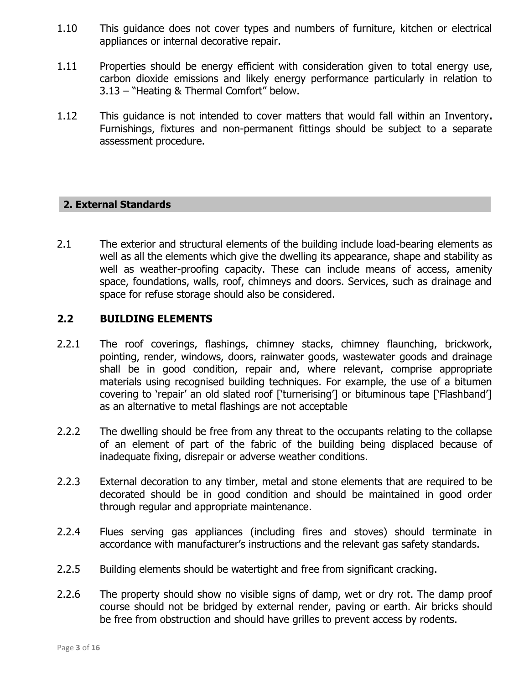- 1.10 This guidance does not cover types and numbers of furniture, kitchen or electrical appliances or internal decorative repair.
- 1.11 Properties should be energy efficient with consideration given to total energy use, carbon dioxide emissions and likely energy performance particularly in relation to 3.13 – "Heating & Thermal Comfort" below.
- 1.12 This guidance is not intended to cover matters that would fall within an Inventory**.**  Furnishings, fixtures and non-permanent fittings should be subject to a separate assessment procedure.

### **2. External Standards**

2.1 The exterior and structural elements of the building include load-bearing elements as well as all the elements which give the dwelling its appearance, shape and stability as well as weather-proofing capacity. These can include means of access, amenity space, foundations, walls, roof, chimneys and doors. Services, such as drainage and space for refuse storage should also be considered.

### **2.2 BUILDING ELEMENTS**

- 2.2.1 The roof coverings, flashings, chimney stacks, chimney flaunching, brickwork, pointing, render, windows, doors, rainwater goods, wastewater goods and drainage shall be in good condition, repair and, where relevant, comprise appropriate materials using recognised building techniques. For example, the use of a bitumen covering to "repair" an old slated roof ["turnerising"] or bituminous tape ["Flashband"] as an alternative to metal flashings are not acceptable
- 2.2.2 The dwelling should be free from any threat to the occupants relating to the collapse of an element of part of the fabric of the building being displaced because of inadequate fixing, disrepair or adverse weather conditions.
- 2.2.3 External decoration to any timber, metal and stone elements that are required to be decorated should be in good condition and should be maintained in good order through regular and appropriate maintenance.
- 2.2.4 Flues serving gas appliances (including fires and stoves) should terminate in accordance with manufacturer's instructions and the relevant gas safety standards.
- 2.2.5 Building elements should be watertight and free from significant cracking.
- 2.2.6 The property should show no visible signs of damp, wet or dry rot. The damp proof course should not be bridged by external render, paving or earth. Air bricks should be free from obstruction and should have grilles to prevent access by rodents.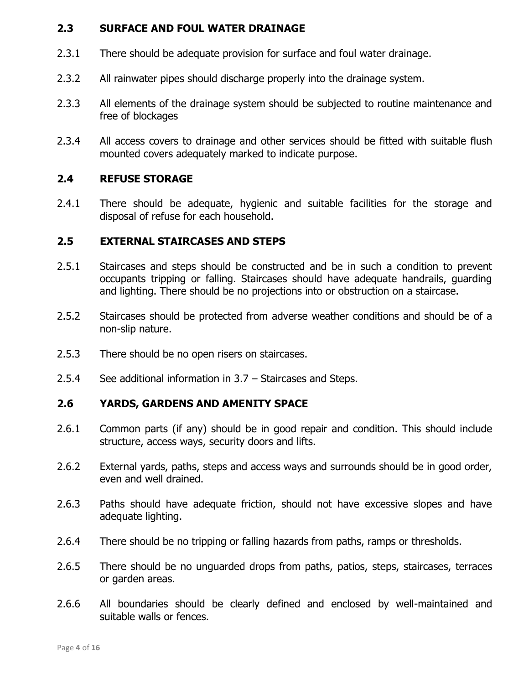# **2.3 SURFACE AND FOUL WATER DRAINAGE**

- 2.3.1 There should be adequate provision for surface and foul water drainage.
- 2.3.2 All rainwater pipes should discharge properly into the drainage system.
- 2.3.3 All elements of the drainage system should be subjected to routine maintenance and free of blockages
- 2.3.4 All access covers to drainage and other services should be fitted with suitable flush mounted covers adequately marked to indicate purpose.

### **2.4 REFUSE STORAGE**

2.4.1 There should be adequate, hygienic and suitable facilities for the storage and disposal of refuse for each household.

### **2.5 EXTERNAL STAIRCASES AND STEPS**

- 2.5.1 Staircases and steps should be constructed and be in such a condition to prevent occupants tripping or falling. Staircases should have adequate handrails, guarding and lighting. There should be no projections into or obstruction on a staircase.
- 2.5.2 Staircases should be protected from adverse weather conditions and should be of a non-slip nature.
- 2.5.3 There should be no open risers on staircases.
- 2.5.4 See additional information in 3.7 Staircases and Steps.

#### **2.6 YARDS, GARDENS AND AMENITY SPACE**

- 2.6.1 Common parts (if any) should be in good repair and condition. This should include structure, access ways, security doors and lifts.
- 2.6.2 External yards, paths, steps and access ways and surrounds should be in good order, even and well drained.
- 2.6.3 Paths should have adequate friction, should not have excessive slopes and have adequate lighting.
- 2.6.4 There should be no tripping or falling hazards from paths, ramps or thresholds.
- 2.6.5 There should be no unguarded drops from paths, patios, steps, staircases, terraces or garden areas.
- 2.6.6 All boundaries should be clearly defined and enclosed by well-maintained and suitable walls or fences.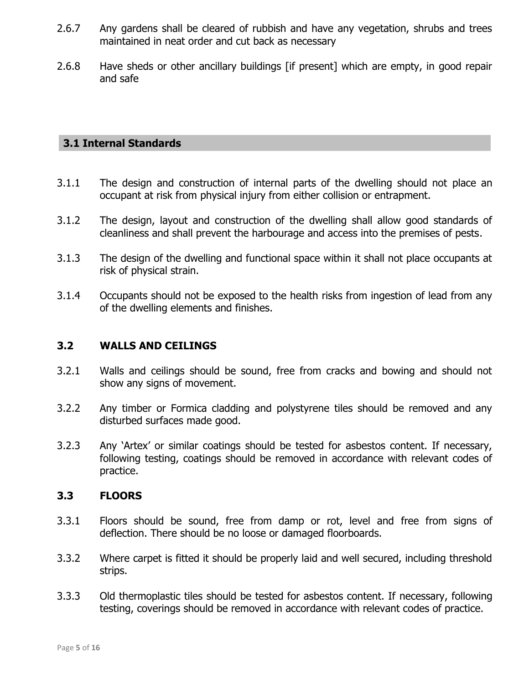- 2.6.7 Any gardens shall be cleared of rubbish and have any vegetation, shrubs and trees maintained in neat order and cut back as necessary
- 2.6.8 Have sheds or other ancillary buildings [if present] which are empty, in good repair and safe

### **3.1 Internal Standards**

- 3.1.1 The design and construction of internal parts of the dwelling should not place an occupant at risk from physical injury from either collision or entrapment.
- 3.1.2 The design, layout and construction of the dwelling shall allow good standards of cleanliness and shall prevent the harbourage and access into the premises of pests.
- 3.1.3 The design of the dwelling and functional space within it shall not place occupants at risk of physical strain.
- 3.1.4 Occupants should not be exposed to the health risks from ingestion of lead from any of the dwelling elements and finishes.

### **3.2 WALLS AND CEILINGS**

- 3.2.1 Walls and ceilings should be sound, free from cracks and bowing and should not show any signs of movement.
- 3.2.2 Any timber or Formica cladding and polystyrene tiles should be removed and any disturbed surfaces made good.
- 3.2.3 Any "Artex" or similar coatings should be tested for asbestos content. If necessary, following testing, coatings should be removed in accordance with relevant codes of practice.

#### **3.3 FLOORS**

- 3.3.1 Floors should be sound, free from damp or rot, level and free from signs of deflection. There should be no loose or damaged floorboards.
- 3.3.2 Where carpet is fitted it should be properly laid and well secured, including threshold strips.
- 3.3.3 Old thermoplastic tiles should be tested for asbestos content. If necessary, following testing, coverings should be removed in accordance with relevant codes of practice.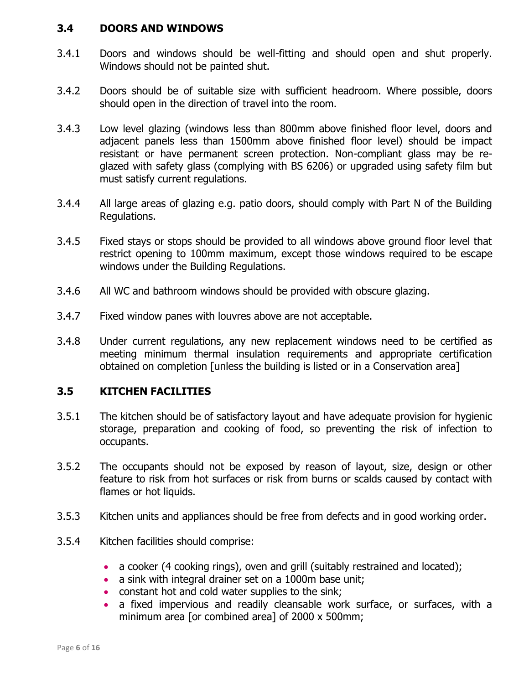### **3.4 DOORS AND WINDOWS**

- 3.4.1 Doors and windows should be well-fitting and should open and shut properly. Windows should not be painted shut.
- 3.4.2 Doors should be of suitable size with sufficient headroom. Where possible, doors should open in the direction of travel into the room.
- 3.4.3 Low level glazing (windows less than 800mm above finished floor level, doors and adjacent panels less than 1500mm above finished floor level) should be impact resistant or have permanent screen protection. Non-compliant glass may be reglazed with safety glass (complying with BS 6206) or upgraded using safety film but must satisfy current regulations.
- 3.4.4 All large areas of glazing e.g. patio doors, should comply with Part N of the Building Regulations.
- 3.4.5 Fixed stays or stops should be provided to all windows above ground floor level that restrict opening to 100mm maximum, except those windows required to be escape windows under the Building Regulations.
- 3.4.6 All WC and bathroom windows should be provided with obscure glazing.
- 3.4.7 Fixed window panes with louvres above are not acceptable.
- 3.4.8 Under current regulations, any new replacement windows need to be certified as meeting minimum thermal insulation requirements and appropriate certification obtained on completion [unless the building is listed or in a Conservation area]

## **3.5 KITCHEN FACILITIES**

- 3.5.1 The kitchen should be of satisfactory layout and have adequate provision for hygienic storage, preparation and cooking of food, so preventing the risk of infection to occupants.
- 3.5.2 The occupants should not be exposed by reason of layout, size, design or other feature to risk from hot surfaces or risk from burns or scalds caused by contact with flames or hot liquids.
- 3.5.3 Kitchen units and appliances should be free from defects and in good working order.
- 3.5.4 Kitchen facilities should comprise:
	- a cooker (4 cooking rings), oven and grill (suitably restrained and located);
	- a sink with integral drainer set on a 1000m base unit;
	- constant hot and cold water supplies to the sink;
	- a fixed impervious and readily cleansable work surface, or surfaces, with a minimum area [or combined area] of 2000 x 500mm;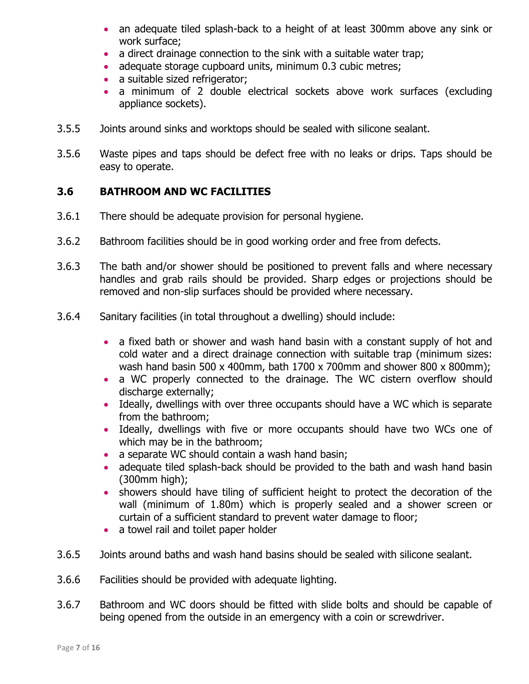- an adequate tiled splash-back to a height of at least 300mm above any sink or work surface;
- a direct drainage connection to the sink with a suitable water trap;
- adequate storage cupboard units, minimum 0.3 cubic metres;
- a suitable sized refrigerator;
- a minimum of 2 double electrical sockets above work surfaces (excluding appliance sockets).
- 3.5.5 Joints around sinks and worktops should be sealed with silicone sealant.
- 3.5.6 Waste pipes and taps should be defect free with no leaks or drips. Taps should be easy to operate.

## **3.6 BATHROOM AND WC FACILITIES**

- 3.6.1 There should be adequate provision for personal hygiene.
- 3.6.2 Bathroom facilities should be in good working order and free from defects.
- 3.6.3 The bath and/or shower should be positioned to prevent falls and where necessary handles and grab rails should be provided. Sharp edges or projections should be removed and non-slip surfaces should be provided where necessary.
- 3.6.4 Sanitary facilities (in total throughout a dwelling) should include:
	- a fixed bath or shower and wash hand basin with a constant supply of hot and cold water and a direct drainage connection with suitable trap (minimum sizes: wash hand basin 500 x 400mm, bath 1700 x 700mm and shower 800 x 800mm);
	- a WC properly connected to the drainage. The WC cistern overflow should discharge externally;
	- Ideally, dwellings with over three occupants should have a WC which is separate from the bathroom;
	- Ideally, dwellings with five or more occupants should have two WCs one of which may be in the bathroom;
	- a separate WC should contain a wash hand basin;
	- adequate tiled splash-back should be provided to the bath and wash hand basin (300mm high);
	- showers should have tiling of sufficient height to protect the decoration of the wall (minimum of 1.80m) which is properly sealed and a shower screen or curtain of a sufficient standard to prevent water damage to floor;
	- a towel rail and toilet paper holder
- 3.6.5 Joints around baths and wash hand basins should be sealed with silicone sealant.
- 3.6.6 Facilities should be provided with adequate lighting.
- 3.6.7 Bathroom and WC doors should be fitted with slide bolts and should be capable of being opened from the outside in an emergency with a coin or screwdriver.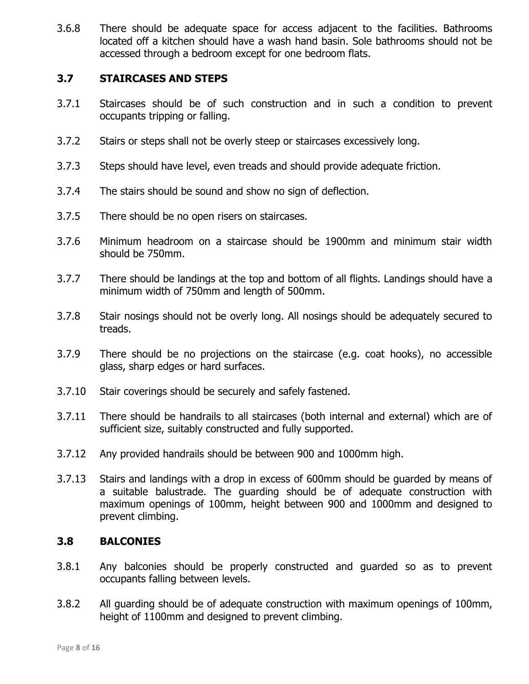3.6.8 There should be adequate space for access adjacent to the facilities. Bathrooms located off a kitchen should have a wash hand basin. Sole bathrooms should not be accessed through a bedroom except for one bedroom flats.

### **3.7 STAIRCASES AND STEPS**

- 3.7.1 Staircases should be of such construction and in such a condition to prevent occupants tripping or falling.
- 3.7.2 Stairs or steps shall not be overly steep or staircases excessively long.
- 3.7.3 Steps should have level, even treads and should provide adequate friction.
- 3.7.4 The stairs should be sound and show no sign of deflection.
- 3.7.5 There should be no open risers on staircases.
- 3.7.6 Minimum headroom on a staircase should be 1900mm and minimum stair width should be 750mm.
- 3.7.7 There should be landings at the top and bottom of all flights. Landings should have a minimum width of 750mm and length of 500mm.
- 3.7.8 Stair nosings should not be overly long. All nosings should be adequately secured to treads.
- 3.7.9 There should be no projections on the staircase (e.g. coat hooks), no accessible glass, sharp edges or hard surfaces.
- 3.7.10 Stair coverings should be securely and safely fastened.
- 3.7.11 There should be handrails to all staircases (both internal and external) which are of sufficient size, suitably constructed and fully supported.
- 3.7.12 Any provided handrails should be between 900 and 1000mm high.
- 3.7.13 Stairs and landings with a drop in excess of 600mm should be guarded by means of a suitable balustrade. The guarding should be of adequate construction with maximum openings of 100mm, height between 900 and 1000mm and designed to prevent climbing.

#### **3.8 BALCONIES**

- 3.8.1 Any balconies should be properly constructed and guarded so as to prevent occupants falling between levels.
- 3.8.2 All guarding should be of adequate construction with maximum openings of 100mm, height of 1100mm and designed to prevent climbing.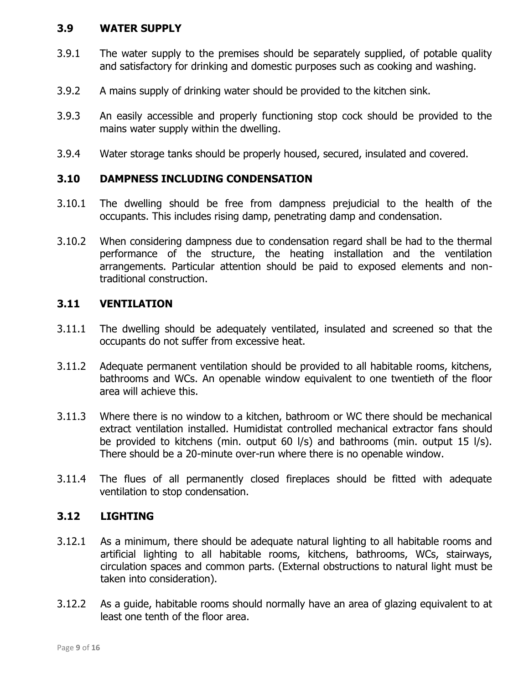### **3.9 WATER SUPPLY**

- 3.9.1 The water supply to the premises should be separately supplied, of potable quality and satisfactory for drinking and domestic purposes such as cooking and washing.
- 3.9.2 A mains supply of drinking water should be provided to the kitchen sink.
- 3.9.3 An easily accessible and properly functioning stop cock should be provided to the mains water supply within the dwelling.
- 3.9.4 Water storage tanks should be properly housed, secured, insulated and covered.

### **3.10 DAMPNESS INCLUDING CONDENSATION**

- 3.10.1 The dwelling should be free from dampness prejudicial to the health of the occupants. This includes rising damp, penetrating damp and condensation.
- 3.10.2 When considering dampness due to condensation regard shall be had to the thermal performance of the structure, the heating installation and the ventilation arrangements. Particular attention should be paid to exposed elements and nontraditional construction.

#### **3.11 VENTILATION**

- 3.11.1 The dwelling should be adequately ventilated, insulated and screened so that the occupants do not suffer from excessive heat.
- 3.11.2 Adequate permanent ventilation should be provided to all habitable rooms, kitchens, bathrooms and WCs. An openable window equivalent to one twentieth of the floor area will achieve this.
- 3.11.3 Where there is no window to a kitchen, bathroom or WC there should be mechanical extract ventilation installed. Humidistat controlled mechanical extractor fans should be provided to kitchens (min. output 60 l/s) and bathrooms (min. output 15 l/s). There should be a 20-minute over-run where there is no openable window.
- 3.11.4 The flues of all permanently closed fireplaces should be fitted with adequate ventilation to stop condensation.

## **3.12 LIGHTING**

- 3.12.1 As a minimum, there should be adequate natural lighting to all habitable rooms and artificial lighting to all habitable rooms, kitchens, bathrooms, WCs, stairways, circulation spaces and common parts. (External obstructions to natural light must be taken into consideration).
- 3.12.2 As a guide, habitable rooms should normally have an area of glazing equivalent to at least one tenth of the floor area.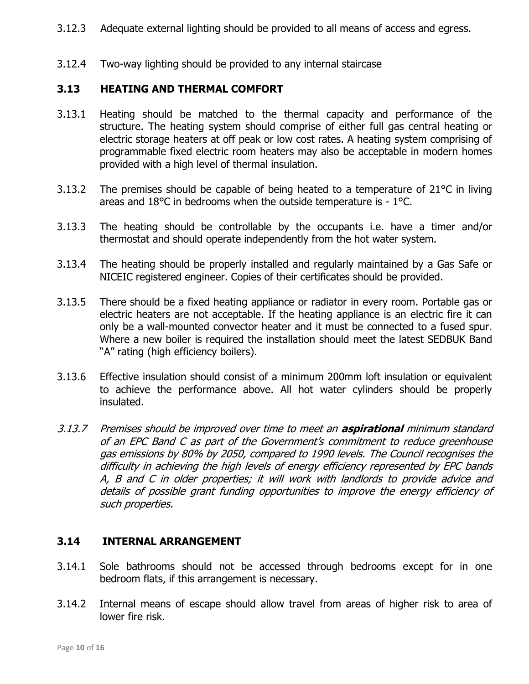- 3.12.3 Adequate external lighting should be provided to all means of access and egress.
- 3.12.4 Two-way lighting should be provided to any internal staircase

## **3.13 HEATING AND THERMAL COMFORT**

- 3.13.1 Heating should be matched to the thermal capacity and performance of the structure. The heating system should comprise of either full gas central heating or electric storage heaters at off peak or low cost rates. A heating system comprising of programmable fixed electric room heaters may also be acceptable in modern homes provided with a high level of thermal insulation.
- 3.13.2 The premises should be capable of being heated to a temperature of 21°C in living areas and 18°C in bedrooms when the outside temperature is - 1°C.
- 3.13.3 The heating should be controllable by the occupants i.e. have a timer and/or thermostat and should operate independently from the hot water system.
- 3.13.4 The heating should be properly installed and regularly maintained by a Gas Safe or NICEIC registered engineer. Copies of their certificates should be provided.
- 3.13.5 There should be a fixed heating appliance or radiator in every room. Portable gas or electric heaters are not acceptable. If the heating appliance is an electric fire it can only be a wall-mounted convector heater and it must be connected to a fused spur. Where a new boiler is required the installation should meet the latest SEDBUK Band "A" rating (high efficiency boilers).
- 3.13.6 Effective insulation should consist of a minimum 200mm loft insulation or equivalent to achieve the performance above. All hot water cylinders should be properly insulated.
- 3.13.7 Premises should be improved over time to meet an **aspirational** minimum standard of an EPC Band C as part of the Government's commitment to reduce greenhouse gas emissions by 80% by 2050, compared to 1990 levels. The Council recognises the difficulty in achieving the high levels of energy efficiency represented by EPC bands A, B and C in older properties; it will work with landlords to provide advice and details of possible grant funding opportunities to improve the energy efficiency of such properties.

#### **3.14 INTERNAL ARRANGEMENT**

- 3.14.1 Sole bathrooms should not be accessed through bedrooms except for in one bedroom flats, if this arrangement is necessary.
- 3.14.2 Internal means of escape should allow travel from areas of higher risk to area of lower fire risk.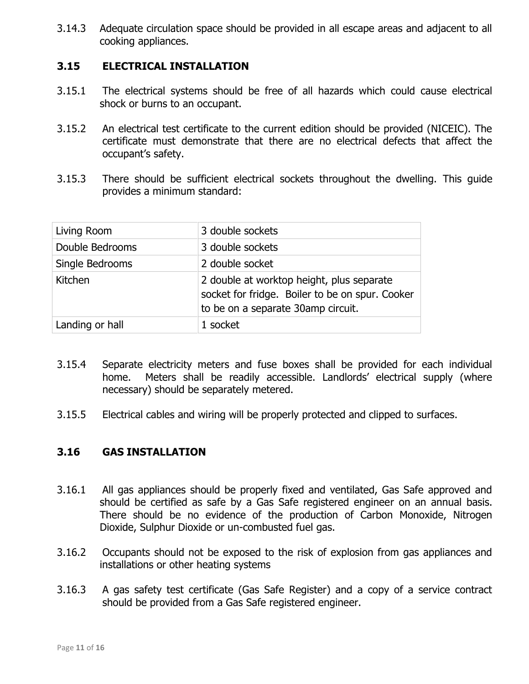3.14.3 Adequate circulation space should be provided in all escape areas and adjacent to all cooking appliances.

## **3.15 ELECTRICAL INSTALLATION**

- 3.15.1 The electrical systems should be free of all hazards which could cause electrical shock or burns to an occupant.
- 3.15.2 An electrical test certificate to the current edition should be provided (NICEIC). The certificate must demonstrate that there are no electrical defects that affect the occupant"s safety.
- 3.15.3 There should be sufficient electrical sockets throughout the dwelling. This guide provides a minimum standard:

| Living Room     | 3 double sockets                                                                                                                   |
|-----------------|------------------------------------------------------------------------------------------------------------------------------------|
| Double Bedrooms | 3 double sockets                                                                                                                   |
| Single Bedrooms | 2 double socket                                                                                                                    |
| Kitchen         | 2 double at worktop height, plus separate<br>socket for fridge. Boiler to be on spur. Cooker<br>to be on a separate 30amp circuit. |
| Landing or hall | 1 socket                                                                                                                           |

- 3.15.4 Separate electricity meters and fuse boxes shall be provided for each individual home. Meters shall be readily accessible. Landlords' electrical supply (where necessary) should be separately metered.
- 3.15.5 Electrical cables and wiring will be properly protected and clipped to surfaces.

## **3.16 GAS INSTALLATION**

- 3.16.1 All gas appliances should be properly fixed and ventilated, Gas Safe approved and should be certified as safe by a Gas Safe registered engineer on an annual basis. There should be no evidence of the production of Carbon Monoxide, Nitrogen Dioxide, Sulphur Dioxide or un-combusted fuel gas.
- 3.16.2 Occupants should not be exposed to the risk of explosion from gas appliances and installations or other heating systems
- 3.16.3 A gas safety test certificate (Gas Safe Register) and a copy of a service contract should be provided from a Gas Safe registered engineer.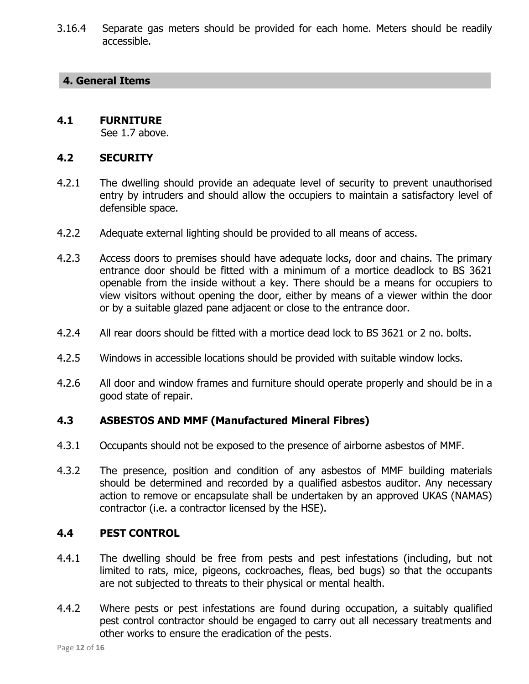3.16.4 Separate gas meters should be provided for each home. Meters should be readily accessible.

#### **4. General Items**

### **4.1 FURNITURE**

See 1.7 above.

## **4.2 SECURITY**

- 4.2.1 The dwelling should provide an adequate level of security to prevent unauthorised entry by intruders and should allow the occupiers to maintain a satisfactory level of defensible space.
- 4.2.2 Adequate external lighting should be provided to all means of access.
- 4.2.3 Access doors to premises should have adequate locks, door and chains. The primary entrance door should be fitted with a minimum of a mortice deadlock to BS 3621 openable from the inside without a key. There should be a means for occupiers to view visitors without opening the door, either by means of a viewer within the door or by a suitable glazed pane adjacent or close to the entrance door.
- 4.2.4 All rear doors should be fitted with a mortice dead lock to BS 3621 or 2 no. bolts.
- 4.2.5 Windows in accessible locations should be provided with suitable window locks.
- 4.2.6 All door and window frames and furniture should operate properly and should be in a good state of repair.

## **4.3 ASBESTOS AND MMF (Manufactured Mineral Fibres)**

- 4.3.1 Occupants should not be exposed to the presence of airborne asbestos of MMF.
- 4.3.2 The presence, position and condition of any asbestos of MMF building materials should be determined and recorded by a qualified asbestos auditor. Any necessary action to remove or encapsulate shall be undertaken by an approved UKAS (NAMAS) contractor (i.e. a contractor licensed by the HSE).

## **4.4 PEST CONTROL**

- 4.4.1 The dwelling should be free from pests and pest infestations (including, but not limited to rats, mice, pigeons, cockroaches, fleas, bed bugs) so that the occupants are not subjected to threats to their physical or mental health.
- 4.4.2 Where pests or pest infestations are found during occupation, a suitably qualified pest control contractor should be engaged to carry out all necessary treatments and other works to ensure the eradication of the pests.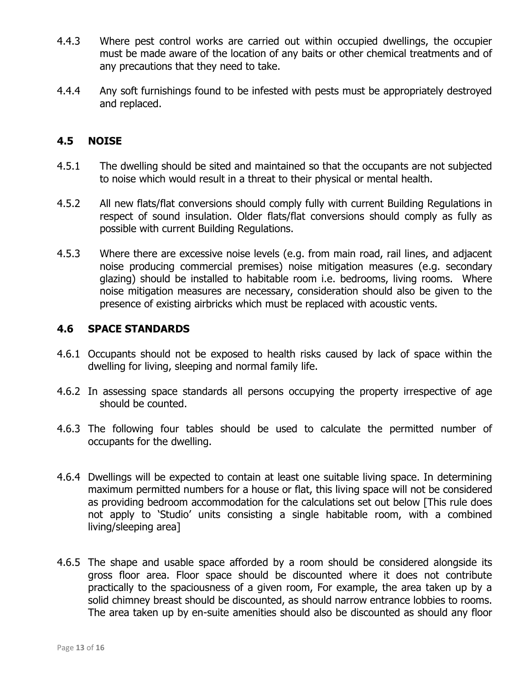- 4.4.3 Where pest control works are carried out within occupied dwellings, the occupier must be made aware of the location of any baits or other chemical treatments and of any precautions that they need to take.
- 4.4.4 Any soft furnishings found to be infested with pests must be appropriately destroyed and replaced.

## **4.5 NOISE**

- 4.5.1 The dwelling should be sited and maintained so that the occupants are not subjected to noise which would result in a threat to their physical or mental health.
- 4.5.2 All new flats/flat conversions should comply fully with current Building Regulations in respect of sound insulation. Older flats/flat conversions should comply as fully as possible with current Building Regulations.
- 4.5.3 Where there are excessive noise levels (e.g. from main road, rail lines, and adjacent noise producing commercial premises) noise mitigation measures (e.g. secondary glazing) should be installed to habitable room i.e. bedrooms, living rooms. Where noise mitigation measures are necessary, consideration should also be given to the presence of existing airbricks which must be replaced with acoustic vents.

#### **4.6 SPACE STANDARDS**

- 4.6.1 Occupants should not be exposed to health risks caused by lack of space within the dwelling for living, sleeping and normal family life.
- 4.6.2 In assessing space standards all persons occupying the property irrespective of age should be counted.
- 4.6.3 The following four tables should be used to calculate the permitted number of occupants for the dwelling.
- 4.6.4 Dwellings will be expected to contain at least one suitable living space. In determining maximum permitted numbers for a house or flat, this living space will not be considered as providing bedroom accommodation for the calculations set out below [This rule does not apply to "Studio" units consisting a single habitable room, with a combined living/sleeping area]
- 4.6.5 The shape and usable space afforded by a room should be considered alongside its gross floor area. Floor space should be discounted where it does not contribute practically to the spaciousness of a given room, For example, the area taken up by a solid chimney breast should be discounted, as should narrow entrance lobbies to rooms. The area taken up by en-suite amenities should also be discounted as should any floor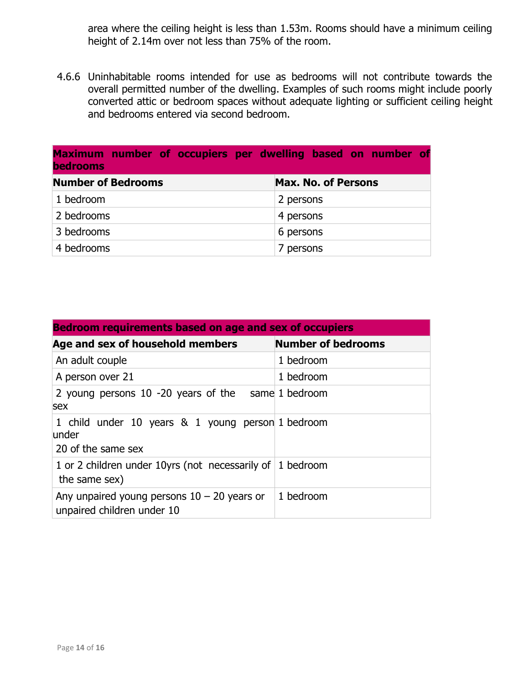area where the ceiling height is less than 1.53m. Rooms should have a minimum ceiling height of 2.14m over not less than 75% of the room.

4.6.6 Uninhabitable rooms intended for use as bedrooms will not contribute towards the overall permitted number of the dwelling. Examples of such rooms might include poorly converted attic or bedroom spaces without adequate lighting or sufficient ceiling height and bedrooms entered via second bedroom.

| Maximum number of occupiers per dwelling based on number of<br><b>bedrooms</b> |                            |  |
|--------------------------------------------------------------------------------|----------------------------|--|
| <b>Number of Bedrooms</b>                                                      | <b>Max. No. of Persons</b> |  |
| 1 bedroom                                                                      | 2 persons                  |  |
| 2 bedrooms                                                                     | 4 persons                  |  |
| 3 bedrooms                                                                     | 6 persons                  |  |
| 4 bedrooms                                                                     | 7 persons                  |  |

| <b>Bedroom requirements based on age and sex of occupiers</b>                      |                           |  |  |  |
|------------------------------------------------------------------------------------|---------------------------|--|--|--|
| Age and sex of household members                                                   | <b>Number of bedrooms</b> |  |  |  |
| An adult couple                                                                    | 1 bedroom                 |  |  |  |
| A person over 21                                                                   | 1 bedroom                 |  |  |  |
| 2 young persons 10 -20 years of the same 1 bedroom<br>sex                          |                           |  |  |  |
| 1 child under 10 years & 1 young person 1 bedroom<br>lunder<br>20 of the same sex  |                           |  |  |  |
| 1 or 2 children under 10yrs (not necessarily of $\vert$ 1 bedroom<br>the same sex) |                           |  |  |  |
| Any unpaired young persons $10 - 20$ years or<br>unpaired children under 10        | 1 bedroom                 |  |  |  |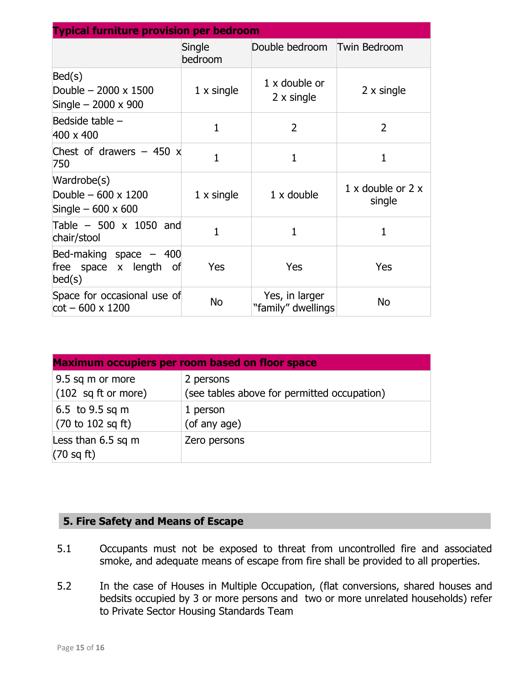| <b>Typical furniture provision per bedroom</b>                       |                   |                                           |                                           |  |
|----------------------------------------------------------------------|-------------------|-------------------------------------------|-------------------------------------------|--|
|                                                                      | Single<br>bedroom | Double bedroom                            | Twin Bedroom                              |  |
| Bed(s)<br>Double $-2000 \times 1500$<br>Single $-2000 \times 900$    | $1 \times$ single | $1 \times$ double or<br>$2 \times$ single | $2 \times$ single                         |  |
| Bedside table -<br>$400 \times 400$                                  | $\mathbf{1}$      | $\overline{2}$                            | $\overline{2}$                            |  |
| Chest of drawers $-450 \times$<br>750                                | $\mathbf{1}$      | 1                                         | 1                                         |  |
| Wardrobe(s)<br>Double $-600 \times 1200$<br>Single $-600 \times 600$ | $1 \times$ single | $1 \times$ double                         | $1 \times$ double or $2 \times$<br>single |  |
| Table $-500 \times 1050$ and<br>chair/stool                          | $\mathbf{1}$      | $\mathbf{1}$                              | 1                                         |  |
| Bed-making space $-400$<br>free space x length<br>of o<br>bed(s)     | Yes               | Yes                                       | Yes                                       |  |
| Space for occasional use of<br>$cot - 600 \times 1200$               | <b>No</b>         | Yes, in larger<br>"family" dwellings      | <b>No</b>                                 |  |

| <b>Maximum occupiers per room based on floor space</b> |                                             |  |
|--------------------------------------------------------|---------------------------------------------|--|
| 9.5 sq m or more                                       | 2 persons                                   |  |
| $(102 \text{ sq ft or more})$                          | (see tables above for permitted occupation) |  |
| 6.5 to $9.5$ sq m                                      | 1 person                                    |  |
| $(70 \text{ to } 102 \text{ sq ft})$                   | (of any age)                                |  |
| Less than $6.5$ sq m<br>$(70 \text{ sq ft})$           | Zero persons                                |  |

## **5. Fire Safety and Means of Escape**

- 5.1 Occupants must not be exposed to threat from uncontrolled fire and associated smoke, and adequate means of escape from fire shall be provided to all properties.
- 5.2 In the case of Houses in Multiple Occupation, (flat conversions, shared houses and bedsits occupied by 3 or more persons and two or more unrelated households) refer to Private Sector Housing Standards Team